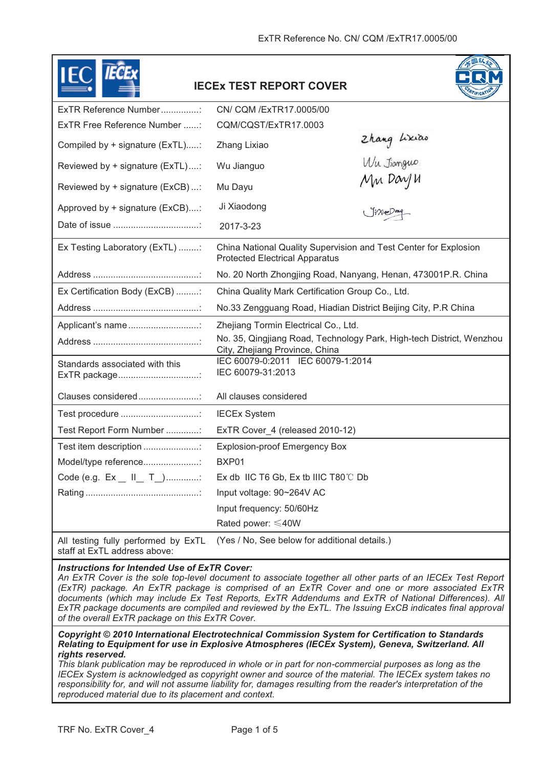|                                                | <b>IECEX TEST REPORT COVER</b>                                                                            |                            |
|------------------------------------------------|-----------------------------------------------------------------------------------------------------------|----------------------------|
| ExTR Reference Number:                         | CN/ CQM /ExTR17.0005/00                                                                                   |                            |
| ExTR Free Reference Number :                   | CQM/CQST/ExTR17.0003                                                                                      |                            |
| Compiled by + signature (ExTL):                | Zhang Lixiao                                                                                              | Zhang Lixiao<br>Wu Jiongue |
| Reviewed by + signature (ExTL):                | Wu Jianguo                                                                                                |                            |
| Reviewed by + signature (ExCB):                | Mu Dayu                                                                                                   | Mu Dayu                    |
| Approved by + signature (ExCB):                | Ji Xiaodong                                                                                               |                            |
|                                                | 2017-3-23                                                                                                 |                            |
| Ex Testing Laboratory (ExTL) :                 | China National Quality Supervision and Test Center for Explosion<br><b>Protected Electrical Apparatus</b> |                            |
|                                                | No. 20 North Zhongjing Road, Nanyang, Henan, 473001P.R. China                                             |                            |
| Ex Certification Body (ExCB) :                 | China Quality Mark Certification Group Co., Ltd.                                                          |                            |
|                                                | No.33 Zengguang Road, Hiadian District Beijing City, P.R China                                            |                            |
| Applicant's name                               | Zhejiang Tormin Electrical Co., Ltd.                                                                      |                            |
|                                                | No. 35, Qingjiang Road, Technology Park, High-tech District, Wenzhou<br>City, Zhejiang Province, China    |                            |
| Standards associated with this<br>ExTR package | IEC 60079-0:2011 IEC 60079-1:2014<br>IEC 60079-31:2013                                                    |                            |
| Clauses considered                             | All clauses considered                                                                                    |                            |
| Test procedure                                 | <b>IECEx System</b>                                                                                       |                            |
| Test Report Form Number :                      | ExTR Cover 4 (released 2010-12)                                                                           |                            |
| Test item description :                        | <b>Explosion-proof Emergency Box</b>                                                                      |                            |
| Model/type reference                           | BXP01                                                                                                     |                            |
| Code (e.g. Ex _ II_ T_):                       | Ex db IIC T6 Gb, Ex tb IIIC $T80^{\circ}$ C Db                                                            |                            |
|                                                | Input voltage: 90~264V AC                                                                                 |                            |
|                                                | Input frequency: 50/60Hz                                                                                  |                            |
|                                                | Rated power: ≤40W                                                                                         |                            |
| All testing fully performed by ExTL            | (Yes / No, See below for additional details.)                                                             |                            |

## staff at ExTL address above:

## *Instructions for Intended Use of ExTR Cover:*

*An ExTR Cover is the sole top-level document to associate together all other parts of an IECEx Test Report (ExTR) package. An ExTR package is comprised of an ExTR Cover and one or more associated ExTR documents (which may include Ex Test Reports, ExTR Addendums and ExTR of National Differences). All ExTR package documents are compiled and reviewed by the ExTL. The Issuing ExCB indicates final approval of the overall ExTR package on this ExTR Cover.* 

*Copyright © 2010 International Electrotechnical Commission System for Certification to Standards Relating to Equipment for use in Explosive Atmospheres (IECEx System), Geneva, Switzerland. All rights reserved.*

*This blank publication may be reproduced in whole or in part for non-commercial purposes as long as the IECEx System is acknowledged as copyright owner and source of the material. The IECEx system takes no*  responsibility for, and will not assume liability for, damages resulting from the reader's interpretation of the *reproduced material due to its placement and context.*